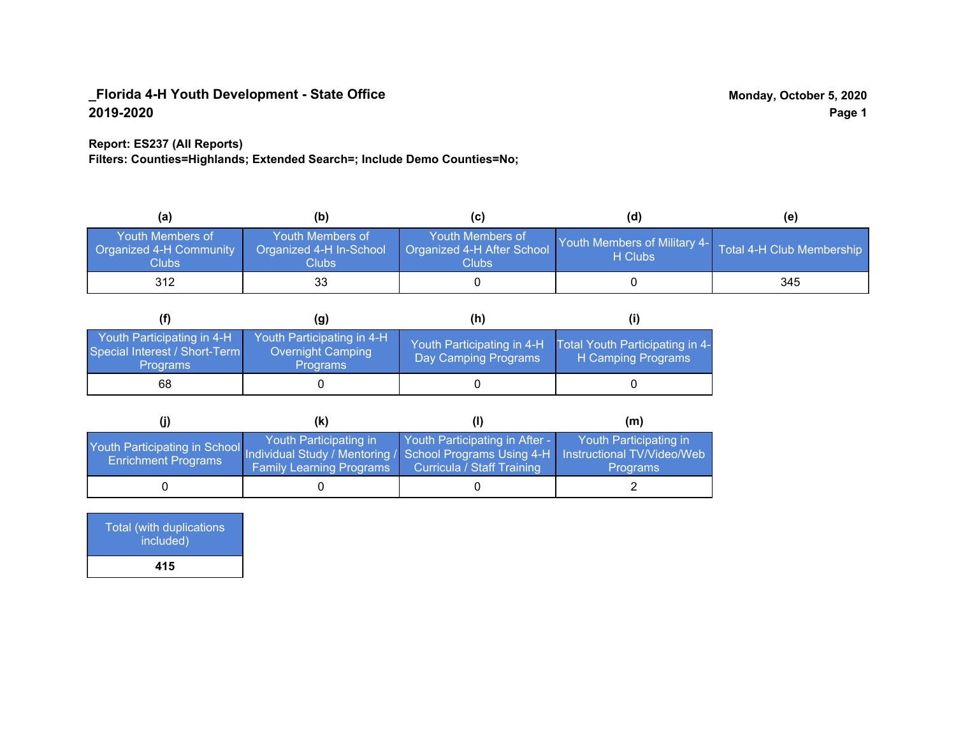#### **Report: ES237 (All Reports)**

**Filters: Counties=Highlands; Extended Search=; Include Demo Counties=No;**

| (a)                                                         | (b)                                                  |                                                                      | (d)                                                               | (e) |
|-------------------------------------------------------------|------------------------------------------------------|----------------------------------------------------------------------|-------------------------------------------------------------------|-----|
| Youth Members of<br><b>Organized 4-H Community</b><br>Clubs | Youth Members of<br>Organized 4-H In-School<br>Clubs | Youth Members of<br>Organized 4-H After School<br>Clubs <sub>.</sub> | Youth Members of Military 4- Total 4-H Club Membership<br>H Clubs |     |
| 312                                                         | 33                                                   |                                                                      |                                                                   | 345 |

|                                                                                | (q)                                                                | (h)                                                |                                                       |
|--------------------------------------------------------------------------------|--------------------------------------------------------------------|----------------------------------------------------|-------------------------------------------------------|
| Youth Participating in 4-H<br>Special Interest / Short-Term<br><b>Programs</b> | Youth Participating in 4-H<br>Overnight Camping<br><b>Programs</b> | Youth Participating in 4-H<br>Day Camping Programs | Total Youth Participating in 4-<br>H Camping Programs |
| 68                                                                             |                                                                    |                                                    |                                                       |

|                                                                                                                                                   | (K)                                                       |                                                                     | (m)                                       |
|---------------------------------------------------------------------------------------------------------------------------------------------------|-----------------------------------------------------------|---------------------------------------------------------------------|-------------------------------------------|
| Youth Participating in School Individual Study / Mentoring / School Programs Using 4-H   Instructional TV/Video/Web<br><b>Enrichment Programs</b> | Youth Participating in<br><b>Family Learning Programs</b> | Youth Participating in After -<br><b>Curricula / Staff Training</b> | Youth Participating in<br><b>Programs</b> |
|                                                                                                                                                   |                                                           |                                                                     |                                           |

| Total (with duplications<br>included) |  |
|---------------------------------------|--|
| 415                                   |  |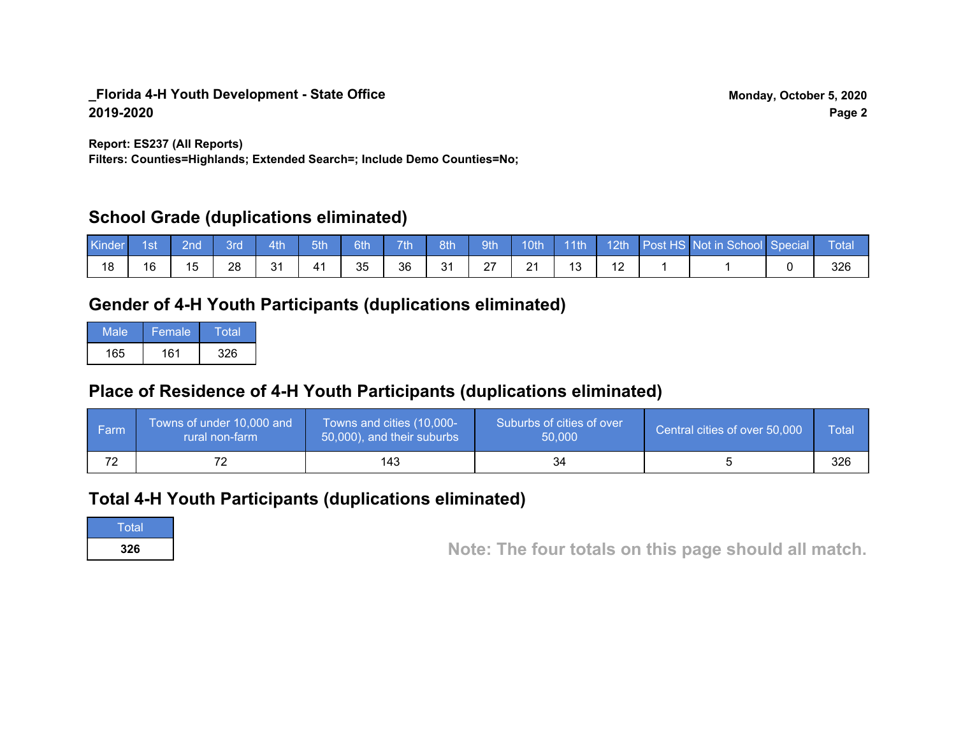**Report: ES237 (All Reports)**

**Filters: Counties=Highlands; Extended Search=; Include Demo Counties=No;**

## **School Grade (duplications eliminated)**

| Kinder | 1st | 2nd\ | <b>3rd</b> | 4th | 5th | 6th | 7th | 8th            | 9th | 10th | 11th | $\vert$ 12th | <b>Post HS Not in School Special</b> | Total |
|--------|-----|------|------------|-----|-----|-----|-----|----------------|-----|------|------|--------------|--------------------------------------|-------|
| 18     | 16  | 15   | 28         | 31  |     | 35  | 36  | $\Omega$<br>ບ∣ | דר  | 21   |      |              |                                      | 326   |

# **Gender of 4-H Youth Participants (duplications eliminated)**

| Male | Female | Total |
|------|--------|-------|
| 165  | 161    | 326   |

# **Place of Residence of 4-H Youth Participants (duplications eliminated)**

| ∣ Farm | Towns of under 10,000 and<br>rural non-farm | Towns and cities (10,000-<br>50,000), and their suburbs | Suburbs of cities of over<br>50,000 | Central cities of over 50,000 | Total |
|--------|---------------------------------------------|---------------------------------------------------------|-------------------------------------|-------------------------------|-------|
| 72     |                                             | 143                                                     | 34                                  |                               | 326   |

## **Total 4-H Youth Participants (duplications eliminated)**

**Total** 

**<sup>326</sup> Note: The four totals on this page should all match.**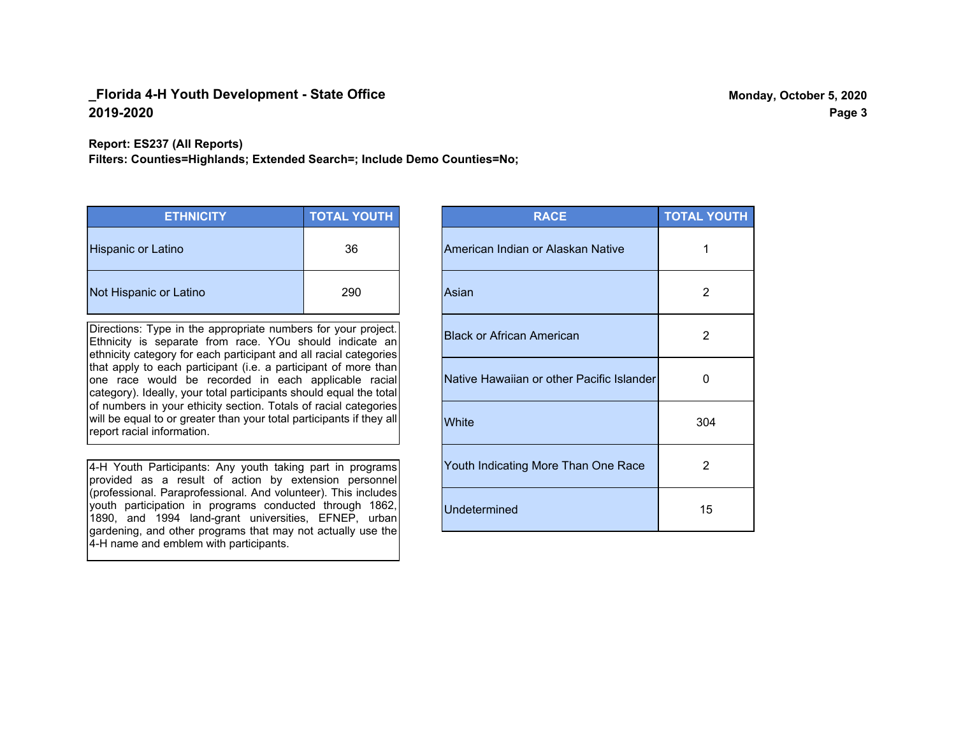**Report: ES237 (All Reports)**

**Filters: Counties=Highlands; Extended Search=; Include Demo Counties=No;**

| <b>ETHNICITY</b>          | <b>TOTAL YOUTH</b> |
|---------------------------|--------------------|
| <b>Hispanic or Latino</b> | 36                 |
| Not Hispanic or Latino    | 290                |

Directions: Type in the appropriate numbers for your project. Ethnicity is separate from race. YOu should indicate an ethnicity category for each participant and all racial categories that apply to each participant (i.e. a participant of more than one race would be recorded in each applicable racial category). Ideally, your total participants should equal the total of numbers in your ethicity section. Totals of racial categories will be equal to or greater than your total participants if they all report racial information.

4-H Youth Participants: Any youth taking part in programs provided as a result of action by extension personnel (professional. Paraprofessional. And volunteer). This includes youth participation in programs conducted through 1862, 1890, and 1994 land-grant universities, EFNEP, urban gardening, and other programs that may not actually use the 4-H name and emblem with participants.

| <b>RACE</b>                               | <b>TOTAL YOUTH</b> |
|-------------------------------------------|--------------------|
| American Indian or Alaskan Native         | 1                  |
| Asian                                     | 2                  |
| <b>Black or African American</b>          | 2                  |
| Native Hawaiian or other Pacific Islander | O                  |
| White                                     | 304                |
| Youth Indicating More Than One Race       | 2                  |
| <b>Undetermined</b>                       | 15                 |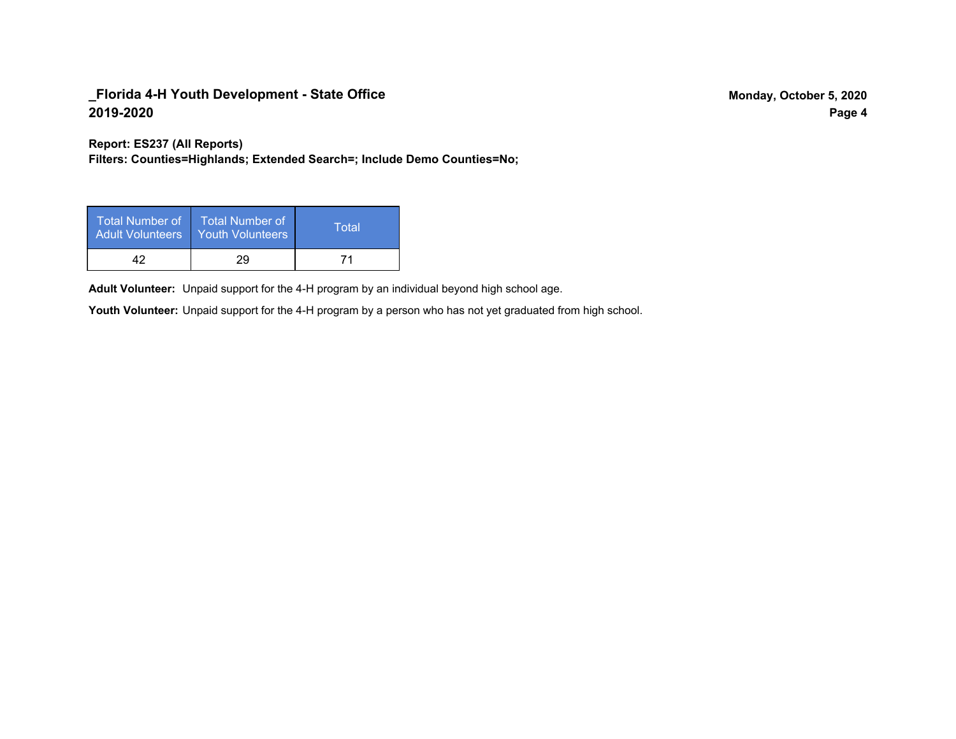**Report: ES237 (All Reports)**

**Filters: Counties=Highlands; Extended Search=; Include Demo Counties=No;**

| Total Number of<br>Adult Volunteers | <b>Total Number of</b><br><b>Youth Volunteers</b> | Total |
|-------------------------------------|---------------------------------------------------|-------|
| 17                                  | 29                                                |       |

Adult Volunteer: Unpaid support for the 4-H program by an individual beyond high school age.

Youth Volunteer: Unpaid support for the 4-H program by a person who has not yet graduated from high school.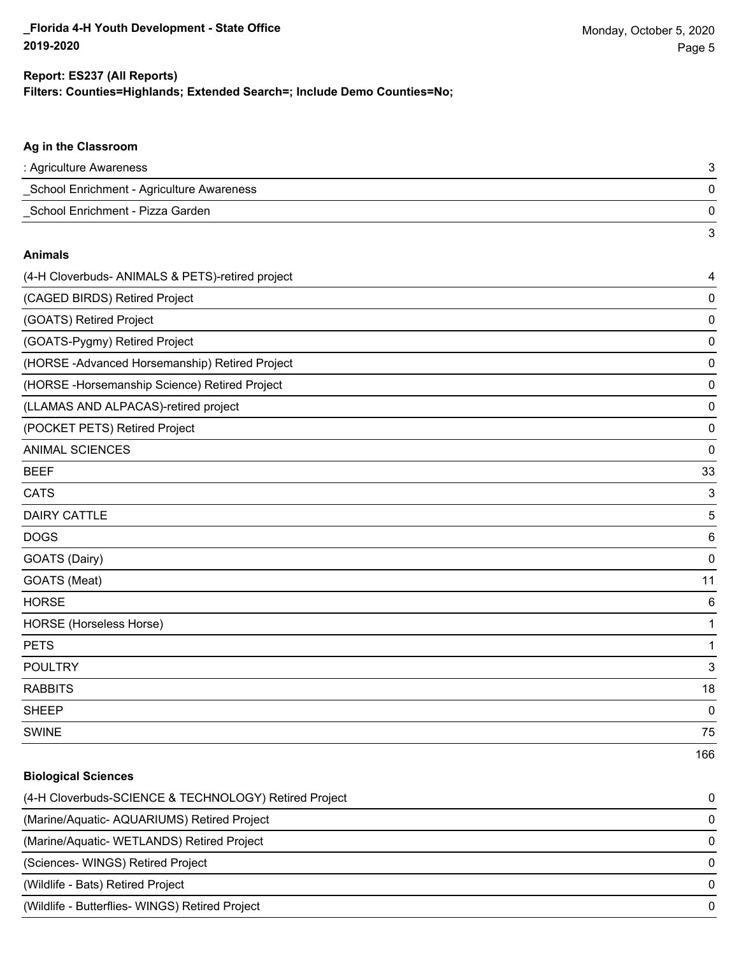**Biological Sciences**

#### **Filters: Counties=Highlands; Extended Search=; Include Demo Counties=No; Report: ES237 (All Reports)**

# **Ag in the Classroom** : Agriculture Awareness 3 \_School Enrichment - Agriculture Awareness 0 \_School Enrichment - Pizza Garden 0 3 **Animals** (4-H Cloverbuds- ANIMALS & PETS)-retired project 4 (CAGED BIRDS) Retired Project 0 (GOATS) Retired Project 0 (GOATS-Pygmy) Retired Project 0 (HORSE -Advanced Horsemanship) Retired Project 0 (HORSE -Horsemanship Science) Retired Project 0 (LLAMAS AND ALPACAS)-retired project 0 (POCKET PETS) Retired Project 0 ANIMAL SCIENCES 0  $BEEF$  33  $\blacksquare$  CATS  $\blacksquare$  3 **DAIRY CATTLE** 5 DOGS 6 GOATS (Dairy) 0 GOATS (Meat) 11 HORSE 6 HORSE (Horseless Horse) 1 PETS and the contract of the contract of the contract of the contract of the contract of the contract of the contract of the contract of the contract of the contract of the contract of the contract of the contract of the c POULTRY 3 RABBITS 18 sheep to the control of the control of the control of the control of the control of the control of the control of the control of the control of the control of the control of the control of the control of the control of the SWINE 75 166

| <u>sivival colonico</u>                               |          |
|-------------------------------------------------------|----------|
| (4-H Cloverbuds-SCIENCE & TECHNOLOGY) Retired Project | $\Omega$ |
| (Marine/Aquatic-AQUARIUMS) Retired Project            | 0        |
| (Marine/Aquatic-WETLANDS) Retired Project             | 0        |
| (Sciences-WINGS) Retired Project                      | 0        |
| (Wildlife - Bats) Retired Project                     | $\Omega$ |
| (Wildlife - Butterflies- WINGS) Retired Project       | $\Omega$ |
|                                                       |          |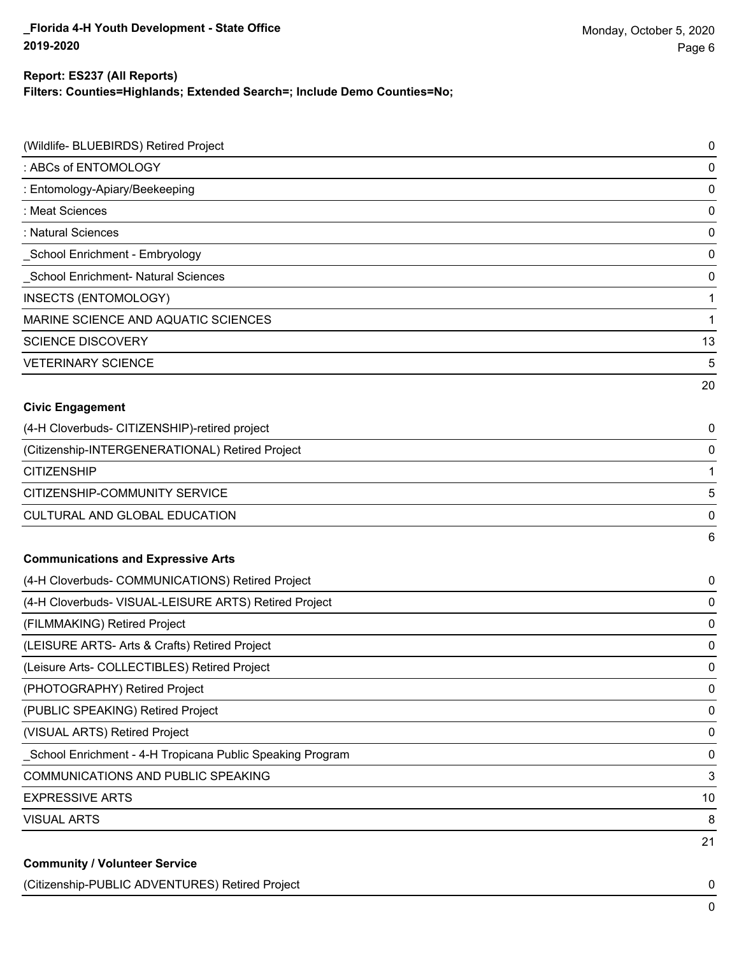#### **Report: ES237 (All Reports)**

**Filters: Counties=Highlands; Extended Search=; Include Demo Counties=No;**

| (Wildlife- BLUEBIRDS) Retired Project                      | $\pmb{0}$   |
|------------------------------------------------------------|-------------|
| : ABCs of ENTOMOLOGY                                       | $\mathbf 0$ |
| : Entomology-Apiary/Beekeeping                             | $\mathbf 0$ |
| : Meat Sciences                                            | 0           |
| : Natural Sciences                                         | $\mathbf 0$ |
| School Enrichment - Embryology                             | 0           |
| School Enrichment- Natural Sciences                        | $\mathbf 0$ |
| INSECTS (ENTOMOLOGY)                                       | 1           |
| MARINE SCIENCE AND AQUATIC SCIENCES                        | 1           |
| <b>SCIENCE DISCOVERY</b>                                   | 13          |
| <b>VETERINARY SCIENCE</b>                                  | 5           |
|                                                            | 20          |
| <b>Civic Engagement</b>                                    |             |
| (4-H Cloverbuds- CITIZENSHIP)-retired project              | 0           |
| (Citizenship-INTERGENERATIONAL) Retired Project            | $\mathbf 0$ |
| <b>CITIZENSHIP</b>                                         | 1           |
| CITIZENSHIP-COMMUNITY SERVICE                              | 5           |
| <b>CULTURAL AND GLOBAL EDUCATION</b>                       | 0           |
|                                                            | 6           |
| <b>Communications and Expressive Arts</b>                  |             |
| (4-H Cloverbuds- COMMUNICATIONS) Retired Project           | 0           |
| (4-H Cloverbuds- VISUAL-LEISURE ARTS) Retired Project      | 0           |
| (FILMMAKING) Retired Project                               | 0           |
| (LEISURE ARTS- Arts & Crafts) Retired Project              | 0           |
| (Leisure Arts- COLLECTIBLES) Retired Project               | 0           |
| (PHOTOGRAPHY) Retired Project                              | 0           |
| (PUBLIC SPEAKING) Retired Project                          | $\pmb{0}$   |
| (VISUAL ARTS) Retired Project                              | 0           |
| _School Enrichment - 4-H Tropicana Public Speaking Program | 0           |
| <b>COMMUNICATIONS AND PUBLIC SPEAKING</b>                  | 3           |
| <b>EXPRESSIVE ARTS</b>                                     | 10          |
| <b>VISUAL ARTS</b>                                         | 8           |
|                                                            | 21          |
| <b>Community / Volunteer Service</b>                       |             |

(Citizenship-PUBLIC ADVENTURES) Retired Project 0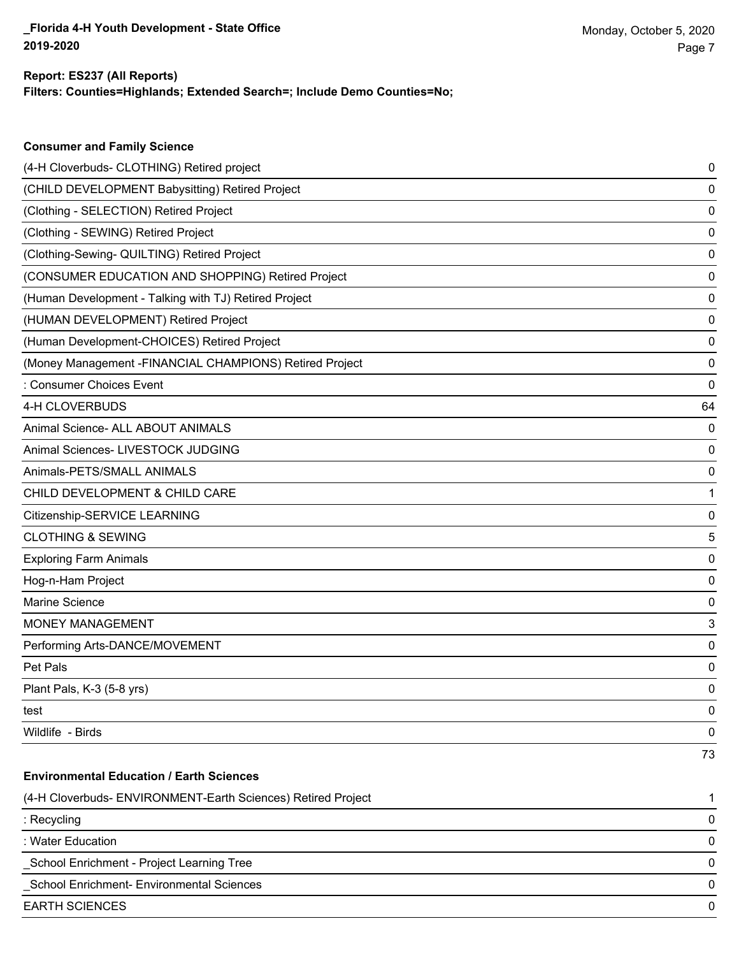**Consumer and Family Science**

#### **Filters: Counties=Highlands; Extended Search=; Include Demo Counties=No; Report: ES237 (All Reports)**

| (4-H Cloverbuds- CLOTHING) Retired project                   | 0  |
|--------------------------------------------------------------|----|
| (CHILD DEVELOPMENT Babysitting) Retired Project              | 0  |
| (Clothing - SELECTION) Retired Project                       | 0  |
| (Clothing - SEWING) Retired Project                          | 0  |
| (Clothing-Sewing- QUILTING) Retired Project                  | 0  |
| (CONSUMER EDUCATION AND SHOPPING) Retired Project            | 0  |
| (Human Development - Talking with TJ) Retired Project        | 0  |
| (HUMAN DEVELOPMENT) Retired Project                          | 0  |
| (Human Development-CHOICES) Retired Project                  | 0  |
| (Money Management - FINANCIAL CHAMPIONS) Retired Project     | 0  |
| : Consumer Choices Event                                     | 0  |
| 4-H CLOVERBUDS                                               | 64 |
| Animal Science- ALL ABOUT ANIMALS                            | 0  |
| Animal Sciences- LIVESTOCK JUDGING                           | 0  |
| Animals-PETS/SMALL ANIMALS                                   | 0  |
| CHILD DEVELOPMENT & CHILD CARE                               | 1  |
| Citizenship-SERVICE LEARNING                                 | 0  |
| <b>CLOTHING &amp; SEWING</b>                                 | 5  |
| <b>Exploring Farm Animals</b>                                | 0  |
| Hog-n-Ham Project                                            | 0  |
| Marine Science                                               | 0  |
| <b>MONEY MANAGEMENT</b>                                      | 3  |
| Performing Arts-DANCE/MOVEMENT                               | 0  |
| Pet Pals                                                     | 0  |
| Plant Pals, K-3 (5-8 yrs)                                    | 0  |
| test                                                         | 0  |
| Wildlife - Birds                                             | 0  |
|                                                              | 73 |
| <b>Environmental Education / Earth Sciences</b>              |    |
| (4-H Cloverbuds- ENVIRONMENT-Earth Sciences) Retired Project | 1  |
| : Recycling                                                  | 0  |
| : Water Education                                            | 0  |
| School Enrichment - Project Learning Tree                    | 0  |
| School Enrichment- Environmental Sciences                    | 0  |
| <b>EARTH SCIENCES</b>                                        | 0  |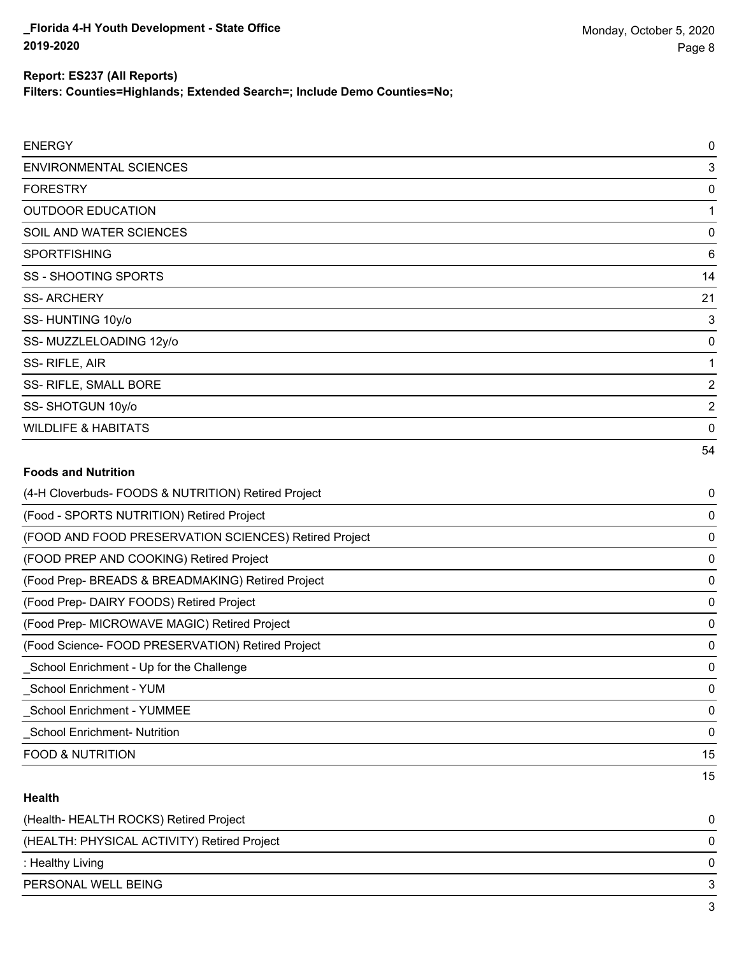### **Report: ES237 (All Reports)**

**Filters: Counties=Highlands; Extended Search=; Include Demo Counties=No;**

| <b>ENERGY</b>                                         | $\mathbf 0$    |
|-------------------------------------------------------|----------------|
| <b>ENVIRONMENTAL SCIENCES</b>                         | 3              |
| <b>FORESTRY</b>                                       | 0              |
| <b>OUTDOOR EDUCATION</b>                              | 1              |
| SOIL AND WATER SCIENCES                               | 0              |
| <b>SPORTFISHING</b>                                   | 6              |
| <b>SS - SHOOTING SPORTS</b>                           | 14             |
| <b>SS-ARCHERY</b>                                     | 21             |
| SS-HUNTING 10y/o                                      | 3              |
| SS- MUZZLELOADING 12y/o                               | 0              |
| SS-RIFLE, AIR                                         | 1              |
| SS- RIFLE, SMALL BORE                                 | $\overline{2}$ |
| SS-SHOTGUN 10y/o                                      | $\overline{2}$ |
| <b>WILDLIFE &amp; HABITATS</b>                        | $\mathbf 0$    |
|                                                       | 54             |
| <b>Foods and Nutrition</b>                            |                |
| (4-H Cloverbuds- FOODS & NUTRITION) Retired Project   | 0              |
| (Food - SPORTS NUTRITION) Retired Project             | 0              |
| (FOOD AND FOOD PRESERVATION SCIENCES) Retired Project | $\mathbf 0$    |
| (FOOD PREP AND COOKING) Retired Project               | $\mathbf 0$    |
| (Food Prep- BREADS & BREADMAKING) Retired Project     | 0              |
| (Food Prep- DAIRY FOODS) Retired Project              | 0              |
| (Food Prep- MICROWAVE MAGIC) Retired Project          | $\mathbf 0$    |
| (Food Science- FOOD PRESERVATION) Retired Project     | 0              |
| School Enrichment - Up for the Challenge              | $\mathbf 0$    |
| <b>School Enrichment - YUM</b>                        | $\mathbf 0$    |
| School Enrichment - YUMMEE                            | 0              |

\_School Enrichment- Nutrition 0

FOOD & NUTRITION 15

#### **Health**

| PERSONAL WELL BEING                         |   |
|---------------------------------------------|---|
| : Healthy Living                            |   |
| (HEALTH: PHYSICAL ACTIVITY) Retired Project | 0 |
| (Health-HEALTH ROCKS) Retired Project       |   |

15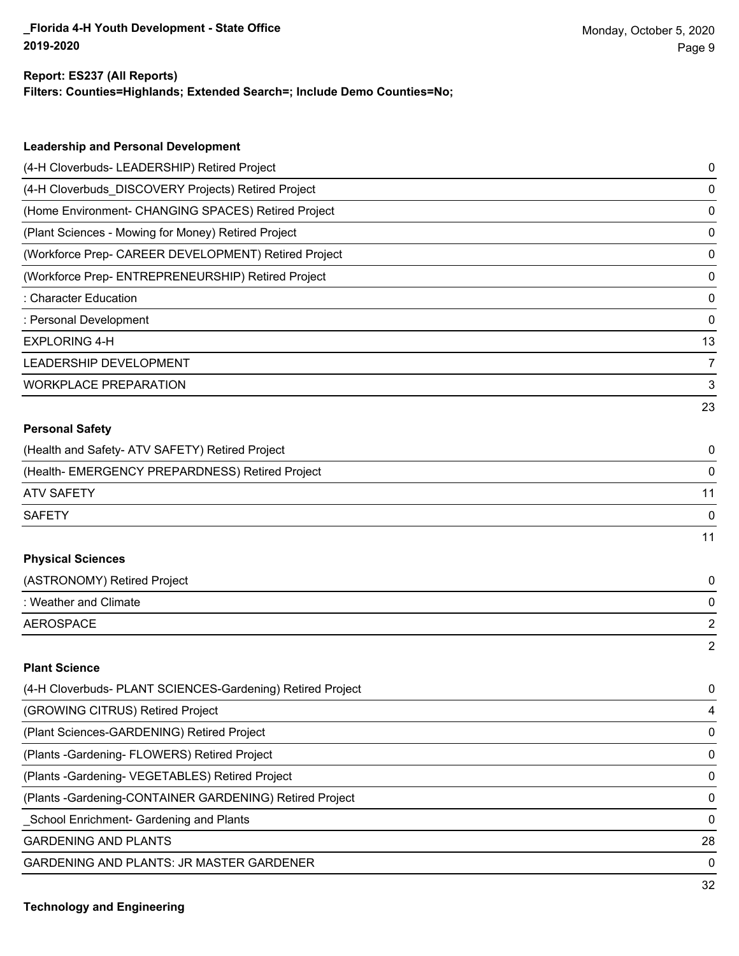#### **Report: ES237 (All Reports)**

**Filters: Counties=Highlands; Extended Search=; Include Demo Counties=No;**

| <b>Leadership and Personal Development</b>                 |                |
|------------------------------------------------------------|----------------|
| (4-H Cloverbuds- LEADERSHIP) Retired Project               | 0              |
| (4-H Cloverbuds_DISCOVERY Projects) Retired Project        | $\pmb{0}$      |
| (Home Environment- CHANGING SPACES) Retired Project        | $\pmb{0}$      |
| (Plant Sciences - Mowing for Money) Retired Project        | $\pmb{0}$      |
| (Workforce Prep- CAREER DEVELOPMENT) Retired Project       | $\pmb{0}$      |
| (Workforce Prep- ENTREPRENEURSHIP) Retired Project         | $\pmb{0}$      |
| : Character Education                                      | $\pmb{0}$      |
| : Personal Development                                     | $\pmb{0}$      |
| <b>EXPLORING 4-H</b>                                       | 13             |
| LEADERSHIP DEVELOPMENT                                     | $\overline{7}$ |
| <b>WORKPLACE PREPARATION</b>                               | 3              |
|                                                            | 23             |
| <b>Personal Safety</b>                                     |                |
| (Health and Safety- ATV SAFETY) Retired Project            | 0              |
| (Health- EMERGENCY PREPARDNESS) Retired Project            | 0              |
| <b>ATV SAFETY</b>                                          | 11             |
| <b>SAFETY</b>                                              | 0              |
|                                                            | 11             |
| <b>Physical Sciences</b>                                   |                |
| (ASTRONOMY) Retired Project                                | 0              |
| : Weather and Climate                                      | 0              |
| <b>AEROSPACE</b>                                           | $\overline{2}$ |
|                                                            | $\overline{2}$ |
| <b>Plant Science</b>                                       |                |
| (4-H Cloverbuds- PLANT SCIENCES-Gardening) Retired Project | 0              |
| (GROWING CITRUS) Retired Project                           | 4              |
| (Plant Sciences-GARDENING) Retired Project                 | $\pmb{0}$      |
| (Plants - Gardening - FLOWERS) Retired Project             | $\pmb{0}$      |
| (Plants - Gardening - VEGETABLES) Retired Project          | $\pmb{0}$      |
| (Plants - Gardening-CONTAINER GARDENING) Retired Project   | $\pmb{0}$      |
| School Enrichment- Gardening and Plants                    | $\pmb{0}$      |
| <b>GARDENING AND PLANTS</b>                                | 28             |

GARDENING AND PLANTS: JR MASTER GARDENER 0